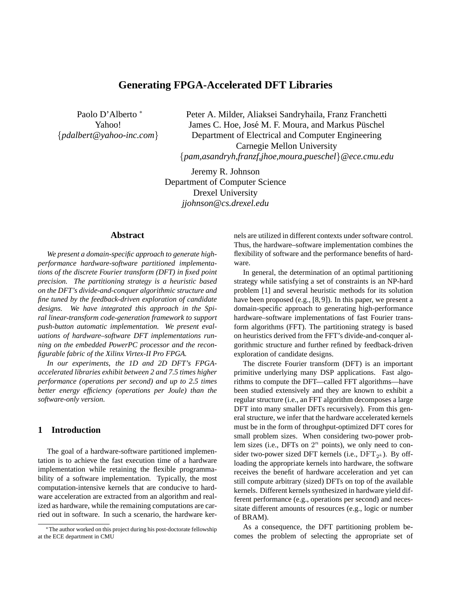# **Generating FPGA-Accelerated DFT Libraries**

Paolo D'Alberto <sup>∗</sup> Yahoo! {*pdalbert@yahoo-inc.com*}

Peter A. Milder, Aliaksei Sandryhaila, Franz Franchetti James C. Hoe, José M. F. Moura, and Markus Püschel Department of Electrical and Computer Engineering Carnegie Mellon University {*pam,asandryh,franzf,jhoe,moura,pueschel*}*@ece.cmu.edu*

Jeremy R. Johnson Department of Computer Science Drexel University *jjohnson@cs.drexel.edu*

# **Abstract**

*We present a domain-specific approach to generate highperformance hardware-software partitioned implementations of the discrete Fourier transform (DFT) in fixed point precision. The partitioning strategy is a heuristic based on the DFT's divide-and-conquer algorithmic structure and fine tuned by the feedback-driven exploration of candidate designs. We have integrated this approach in the Spiral linear-transform code-generation framework to support push-button automatic implementation. We present evaluations of hardware–software DFT implementations running on the embedded PowerPC processor and the reconfigurable fabric of the Xilinx Virtex-II Pro FPGA.*

*In our experiments, the 1D and 2D DFT's FPGAaccelerated libraries exhibit between 2 and 7.5 times higher performance (operations per second) and up to 2.5 times better energy efficiency (operations per Joule) than the software-only version.*

# **1 Introduction**

The goal of a hardware-software partitioned implementation is to achieve the fast execution time of a hardware implementation while retaining the flexible programmability of a software implementation. Typically, the most computation-intensive kernels that are conducive to hardware acceleration are extracted from an algorithm and realized as hardware, while the remaining computations are carried out in software. In such a scenario, the hardware kernels are utilized in different contexts under software control. Thus, the hardware–software implementation combines the flexibility of software and the performance benefits of hardware.

In general, the determination of an optimal partitioning strategy while satisfying a set of constraints is an NP-hard problem [1] and several heuristic methods for its solution have been proposed (e.g., [8,9]). In this paper, we present a domain-specific approach to generating high-performance hardware–software implementations of fast Fourier transform algorithms (FFT). The partitioning strategy is based on heuristics derived from the FFT's divide-and-conquer algorithmic structure and further refined by feedback-driven exploration of candidate designs.

The discrete Fourier transform (DFT) is an important primitive underlying many DSP applications. Fast algorithms to compute the DFT—called FFT algorithms—have been studied extensively and they are known to exhibit a regular structure (i.e., an FFT algorithm decomposes a large DFT into many smaller DFTs recursively). From this general structure, we infer that the hardware accelerated kernels must be in the form of throughput-optimized DFT cores for small problem sizes. When considering two-power problem sizes (i.e., DFTs on  $2<sup>n</sup>$  points), we only need to consider two-power sized DFT kernels (i.e.,  $DFT_{2^k}$ ). By offloading the appropriate kernels into hardware, the software receives the benefit of hardware acceleration and yet can still compute arbitrary (sized) DFTs on top of the available kernels. Different kernels synthesized in hardware yield different performance (e.g., operations per second) and necessitate different amounts of resources (e.g., logic or number of BRAM).

As a consequence, the DFT partitioning problem becomes the problem of selecting the appropriate set of

<sup>∗</sup>The author worked on this project during his post-doctorate fellowship at the ECE department in CMU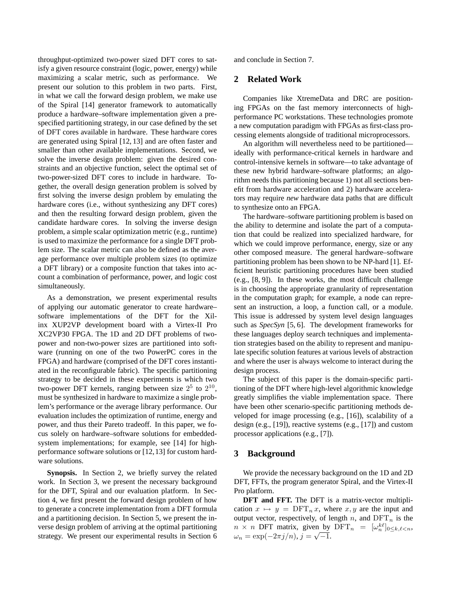throughput-optimized two-power sized DFT cores to satisfy a given resource constraint (logic, power, energy) while maximizing a scalar metric, such as performance. We present our solution to this problem in two parts. First, in what we call the forward design problem, we make use of the Spiral [14] generator framework to automatically produce a hardware–software implementation given a prespecified partitioning strategy, in our case defined by the set of DFT cores available in hardware. These hardware cores are generated using Spiral [12, 13] and are often faster and smaller than other available implementations. Second, we solve the inverse design problem: given the desired constraints and an objective function, select the optimal set of two-power-sized DFT cores to include in hardware. Together, the overall design generation problem is solved by first solving the inverse design problem by emulating the hardware cores (i.e., without synthesizing any DFT cores) and then the resulting forward design problem, given the candidate hardware cores. In solving the inverse design problem, a simple scalar optimization metric (e.g., runtime) is used to maximize the performance for a single DFT problem size. The scalar metric can also be defined as the average performance over multiple problem sizes (to optimize a DFT library) or a composite function that takes into account a combination of performance, power, and logic cost simultaneously.

As a demonstration, we present experimental results of applying our automatic generator to create hardware– software implementations of the DFT for the Xilinx XUP2VP development board with a Virtex-II Pro XC2VP30 FPGA. The 1D and 2D DFT problems of twopower and non-two-power sizes are partitioned into software (running on one of the two PowerPC cores in the FPGA) and hardware (comprised of the DFT cores instantiated in the reconfigurable fabric). The specific partitioning strategy to be decided in these experiments is which two two-power DFT kernels, ranging between size  $2^5$  to  $2^{10}$ , must be synthesized in hardware to maximize a single problem's performance or the average library performance. Our evaluation includes the optimization of runtime, energy and power, and thus their Pareto tradeoff. In this paper, we focus solely on hardware–software solutions for embeddedsystem implementations; for example, see [14] for highperformance software solutions or [12,13] for custom hardware solutions.

**Synopsis.** In Section 2, we briefly survey the related work. In Section 3, we present the necessary background for the DFT, Spiral and our evaluation platform. In Section 4, we first present the forward design problem of how to generate a concrete implementation from a DFT formula and a partitioning decision. In Section 5, we present the inverse design problem of arriving at the optimal partitioning strategy. We present our experimental results in Section 6 and conclude in Section 7.

# **2 Related Work**

Companies like XtremeData and DRC are positioning FPGAs on the fast memory interconnects of highperformance PC workstations. These technologies promote a new computation paradigm with FPGAs as first-class processing elements alongside of traditional microprocessors.

An algorithm will nevertheless need to be partitioned ideally with performance-critical kernels in hardware and control-intensive kernels in software—to take advantage of these new hybrid hardware–software platforms; an algorithm needs this partitioning because 1) not all sections benefit from hardware acceleration and 2) hardware accelerators may require *new* hardware data paths that are difficult to synthesize onto an FPGA.

The hardware–software partitioning problem is based on the ability to determine and isolate the part of a computation that could be realized into specialized hardware, for which we could improve performance, energy, size or any other composed measure. The general hardware–software partitioning problem has been shown to be NP-hard [1]. Efficient heuristic partitioning procedures have been studied (e.g., [8, 9]). In these works, the most difficult challenge is in choosing the appropriate granularity of representation in the computation graph; for example, a node can represent an instruction, a loop, a function call, or a module. This issue is addressed by system level design languages such as *SpecSyn* [5, 6]. The development frameworks for these languages deploy search techniques and implementation strategies based on the ability to represent and manipulate specific solution features at various levels of abstraction and where the user is always welcome to interact during the design process.

The subject of this paper is the domain-specific partitioning of the DFT where high-level algorithmic knowledge greatly simplifies the viable implementation space. There have been other scenario-specific partitioning methods developed for image processing (e.g., [16]), scalability of a design (e.g., [19]), reactive systems (e.g., [17]) and custom processor applications (e.g., [7]).

### **3 Background**

We provide the necessary background on the 1D and 2D DFT, FFTs, the program generator Spiral, and the Virtex-II Pro platform.

**DFT and FFT.** The DFT is a matrix-vector multiplication  $x \mapsto y = DFT_n x$ , where x, y are the input and output vector, respectively, of length n, and  $DFT_n$  is the  $n \times n$  DFT matrix, given by DFT<sub>n</sub> =  $[\omega_n^{k\ell}]_{0 \le k,\ell < n}$ ,  $\omega_n = \exp(-2\pi j/n), j = \sqrt{-1}.$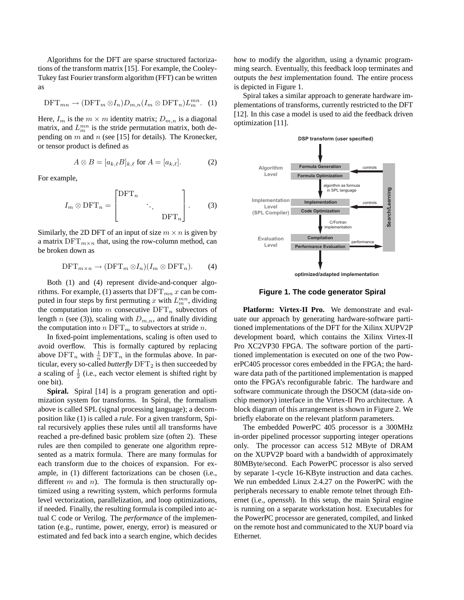Algorithms for the DFT are sparse structured factorizations of the transform matrix [15]. For example, the Cooley-Tukey fast Fourier transform algorithm (FFT) can be written as

$$
\text{DFT}_{mn} \to (\text{DFT}_m \otimes I_n) D_{m,n} (I_m \otimes \text{DFT}_n) L_m^{mn}. \tag{1}
$$

Here,  $I_m$  is the  $m \times m$  identity matrix;  $D_{m,n}$  is a diagonal matrix, and  $L_m^{mn}$  is the stride permutation matrix, both depending on  $m$  and  $n$  (see [15] for details). The Kronecker, or tensor product is defined as

$$
A \otimes B = [a_{k,\ell} B]_{k,\ell} \text{ for } A = [a_{k,\ell}]. \tag{2}
$$

For example,

$$
I_m \otimes \text{DFT}_n = \begin{bmatrix} \text{DFT}_n & & \\ & \ddots & \\ & & \text{DFT}_n \end{bmatrix} . \tag{3}
$$

Similarly, the 2D DFT of an input of size  $m \times n$  is given by a matrix  $DFT_{m\times n}$  that, using the row-column method, can be broken down as

$$
\text{DFT}_{m \times n} \to (\text{DFT}_m \otimes I_n)(I_m \otimes \text{DFT}_n). \tag{4}
$$

Both (1) and (4) represent divide-and-conquer algorithms. For example, (1) asserts that  $\text{DFT}_{mn} x$  can be computed in four steps by first permuting x with  $L_m^{mn}$ , dividing the computation into m consecutive  $\text{DFT}_n$  subvectors of length n (see (3)), scaling with  $D_{m,n}$ , and finally dividing the computation into  $n \, \text{DFT}_m$  to subvectors at stride n.

In fixed-point implementations, scaling is often used to avoid overflow. This is formally captured by replacing above  $\mathrm{DFT}_n$  with  $\frac{1}{n} \mathrm{DFT}_n$  in the formulas above. In particular, every so-called *butterfly* DFT<sub>2</sub> is then succeeded by a scaling of  $\frac{1}{2}$  (i.e., each vector element is shifted right by one bit).

**Spiral.** Spiral [14] is a program generation and optimization system for transforms. In Spiral, the formalism above is called SPL (signal processing language); a decomposition like (1) is called a *rule*. For a given transform, Spiral recursively applies these rules until all transforms have reached a pre-defined basic problem size (often 2). These rules are then compiled to generate one algorithm represented as a matrix formula. There are many formulas for each transform due to the choices of expansion. For example, in (1) different factorizations can be chosen (i.e., different m and n). The formula is then structurally optimized using a rewriting system, which performs formula level vectorization, parallelization, and loop optimizations, if needed. Finally, the resulting formula is compiled into actual C code or Verilog. The *performance* of the implementation (e.g., runtime, power, energy, error) is measured or estimated and fed back into a search engine, which decides how to modify the algorithm, using a dynamic programming search. Eventually, this feedback loop terminates and outputs the *best* implementation found. The entire process is depicted in Figure 1.

Spiral takes a similar approach to generate hardware implementations of transforms, currently restricted to the DFT [12]. In this case a model is used to aid the feedback driven optimization [11].



# **Figure 1. The code generator Spiral**

**Platform: Virtex-II Pro.** We demonstrate and evaluate our approach by generating hardware-software partitioned implementations of the DFT for the Xilinx XUPV2P development board, which contains the Xilinx Virtex-II Pro XC2VP30 FPGA. The software portion of the partitioned implementation is executed on one of the two PowerPC405 processor cores embedded in the FPGA; the hardware data path of the partitioned implementation is mapped onto the FPGA's reconfigurable fabric. The hardware and software communicate through the DSOCM (data-side onchip memory) interface in the Virtex-II Pro architecture. A block diagram of this arrangement is shown in Figure 2. We briefly elaborate on the relevant platform parameters.

The embedded PowerPC 405 processor is a 300MHz in-order pipelined processor supporting integer operations only. The processor can access 512 MByte of DRAM on the XUPV2P board with a bandwidth of approximately 80MByte/second. Each PowerPC processor is also served by separate 1-cycle 16-KByte instruction and data caches. We run embedded Linux 2.4.27 on the PowerPC with the peripherals necessary to enable remote telnet through Ethernet (i.e., *openssh*). In this setup, the main Spiral engine is running on a separate workstation host. Executables for the PowerPC processor are generated, compiled, and linked on the remote host and communicated to the XUP board via Ethernet.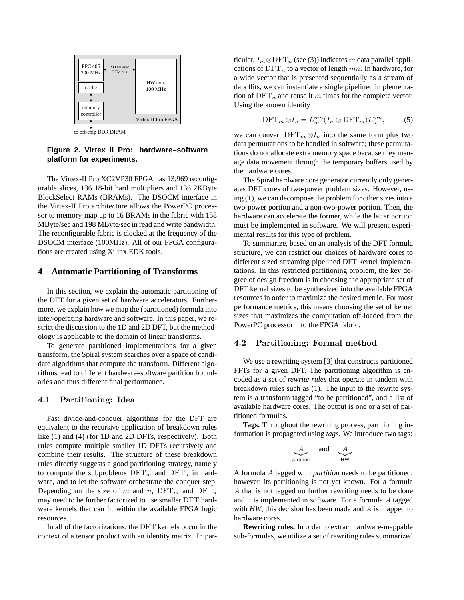

**Figure 2. Virtex II Pro: hardware–software platform for experiments.**

The Virtex-II Pro XC2VP30 FPGA has 13,969 reconfigurable slices, 136 18-bit hard multipliers and 136 2KByte BlockSelect RAMs (BRAMs). The DSOCM interface in the Virtex-II Pro architecture allows the PowerPC processor to memory-map up to 16 BRAMs in the fabric with 158 MByte/sec and 198 MByte/sec in read and write bandwidth. The reconfigurable fabric is clocked at the frequency of the DSOCM interface (100MHz). All of our FPGA configurations are created using Xilinx EDK tools.

#### **4 Automatic Partitioning of Transforms**

In this section, we explain the automatic partitioning of the DFT for a given set of hardware accelerators. Furthermore, we explain how we map the (partitioned) formula into inter-operating hardware and software. In this paper, we restrict the discussion to the 1D and 2D DFT, but the methodology is applicable to the domain of linear transforms.

To generate partitioned implementations for a given transform, the Spiral system searches over a space of candidate algorithms that compute the transform. Different algorithms lead to different hardware–software partition boundaries and thus different final performance.

#### 4.1 Partitioning: Idea

Fast divide-and-conquer algorithms for the DFT are equivalent to the recursive application of breakdown rules like (1) and (4) (for 1D and 2D DFTs, respectively). Both rules compute multiple smaller 1D DFTs recursively and combine their results. The structure of these breakdown rules directly suggests a good partitioning strategy, namely to compute the subproblems  $DFT_m$  and  $DFT_n$  in hardware, and to let the software orchestrate the conquer step. Depending on the size of m and  $n$ ,  $DFT_m$  and  $DFT_n$ may need to be further factorized to use smaller DFT hardware kernels that can fit within the available FPGA logic resources.

In all of the factorizations, the DFT kernels occur in the context of a tensor product with an identity matrix. In particular,  $I_m \otimes \mathrm{DFT}_n$  (see (3)) indicates m data parallel applications of  $\text{DFT}_n$  to a vector of length mn. In hardware, for a wide vector that is presented sequentially as a stream of data flits, we can instantiate a single pipelined implementation of  $DFT_n$  and reuse it m times for the complete vector. Using the known identity

$$
\text{DFT}_m \otimes I_n = L_m^{mn} (I_n \otimes \text{DFT}_m) L_n^{mn},\tag{5}
$$

we can convert  $\text{DFT}_m \otimes I_n$  into the same form plus two data permutations to be handled in software; these permutations do not allocate extra memory space because they manage data movement through the temporary buffers used by the hardware cores.

The Spiral hardware core generator currently only generates DFT cores of two-power problem sizes. However, using (1), we can decompose the problem for other sizes into a two-power portion and a non-two-power portion. Then, the hardware can accelerate the former, while the latter portion must be implemented in software. We will present experimental results for this type of problem.

To summarize, based on an analysis of the DFT formula structure, we can restrict our choices of hardware cores to different sized streaming pipelined DFT kernel implementations. In this restricted partitioning problem, the key degree of design freedom is in choosing the appropriate set of DFT kernel sizes to be synthesized into the available FPGA resources in order to maximize the desired metric. For most performance metrics, this means choosing the set of kernel sizes that maximizes the computation off-loaded from the PowerPC processor into the FPGA fabric.

#### 4.2 Partitioning: Formal method

We use a rewriting system [3] that constructs partitioned FFTs for a given DFT. The partitioning algorithm is encoded as a set of *rewrite rules* that operate in tandem with breakdown rules such as (1). The input to the rewrite system is a transform tagged "to be partitioned", and a list of available hardware cores. The output is one or a set of partitioned formulas.

**Tags.** Throughout the rewriting process, partitioning information is propagated using *tags*. We introduce two tags:

$$
\underbrace{A}_{\text{partition}} \quad \text{and} \quad \underbrace{A}_{\text{HW}}
$$

.

A formula A tagged with *partition* needs to be partitioned; however, its partitioning is not yet known. For a formula A that is not tagged no further rewriting needs to be done and it is implemented in software. For a formula A tagged with *HW*, this decision has been made and *A* is mapped to hardware cores.

**Rewriting rules.** In order to extract hardware-mappable sub-formulas, we utilize a set of rewriting rules summarized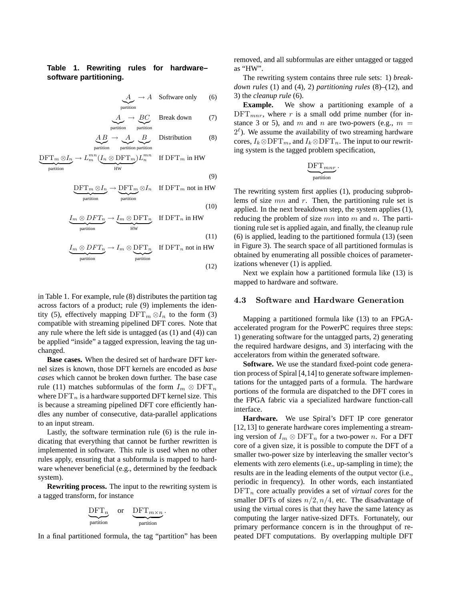**Table 1. Rewriting rules for hardware– software partitioning.**

$$
A \longrightarrow A \quad \text{Software only} \quad (6)
$$
\n<sub>partition</sub>

$$
A \longrightarrow BC
$$
 Break down partition (7)

$$
\underbrace{AB}_{\text{partition}} \rightarrow \underbrace{A}_{\text{partition partition}} \underbrace{B}_{\text{partition}} \text{ Distribution} \tag{8}
$$

$$
\underbrace{\mathrm{DFT}_m\otimes I_n}_{\text{partition}}\rightarrow L_m^{mn}(\underbrace{I_n\otimes\mathrm{DFT}_m}_{\text{HW}})L_n^{mn}\quad\text{If}\ \mathrm{DFT}_m\ \text{in}\ \text{HW}
$$

$$
\underbrace{\mathrm{DFT}_m \otimes I_n}_{\text{partition}} \to \underbrace{\mathrm{DFT}_m}_{\text{partition}} \otimes I_n \quad \text{If } \mathrm{DFT}_m \text{ not in HW}
$$

$$
\underbrace{I_m \otimes DFT_n}_{\text{partition}} \to \underbrace{I_m \otimes DFT_n}_{\text{HW}} \quad \text{If DFT}_n \text{ in HW}
$$

$$
(11)
$$

(9)

(10)

$$
\underbrace{I_m \otimes DFT_n}_{\text{partition}} \to I_m \otimes \underbrace{\text{DFT}_n}_{\text{partition}} \quad \text{If DFT}_n \text{ not in HW}
$$
\n(12)

in Table 1. For example, rule (8) distributes the partition tag across factors of a product; rule (9) implements the identity (5), effectively mapping  $\text{DFT}_m \otimes I_n$  to the form (3) compatible with streaming pipelined DFT cores. Note that any rule where the left side is untagged (as (1) and (4)) can be applied "inside" a tagged expression, leaving the tag unchanged.

**Base cases.** When the desired set of hardware DFT kernel sizes is known, those DFT kernels are encoded as *base cases* which cannot be broken down further. The base case rule (11) matches subformulas of the form  $I_m \otimes DFT_n$ where  $\text{DFT}_n$  is a hardware supported DFT kernel size. This is because a streaming pipelined DFT core efficiently handles any number of consecutive, data-parallel applications to an input stream.

Lastly, the software termination rule (6) is the rule indicating that everything that cannot be further rewritten is implemented in software. This rule is used when no other rules apply, ensuring that a subformula is mapped to hardware whenever beneficial (e.g., determined by the feedback system).

**Rewriting process.** The input to the rewriting system is a tagged transform, for instance

$$
\underbrace{\text{DFT}_n}_{\text{partition}} \quad \text{or} \quad \underbrace{\text{DFT}_{m \times n}}_{\text{partition}}
$$

.

In a final partitioned formula, the tag "partition" has been

removed, and all subformulas are either untagged or tagged as "HW".

The rewriting system contains three rule sets: 1) *breakdown rules* (1) and (4), 2) *partitioning rules* (8)–(12), and 3) the *cleanup rule* (6).

**Example.** We show a partitioning example of a  $DFT_{mnr}$ , where r is a small odd prime number (for instance 3 or 5), and m and n are two-powers (e.g.,  $m =$  $2^{\ell}$ ). We assume the availability of two streaming hardware cores,  $I_k \otimes \mathrm{DFT}_m$ , and  $I_k \otimes \mathrm{DFT}_n$ . The input to our rewriting system is the tagged problem specification,

$$
\underbrace{\text{DFT}_{mnr}}_{\text{partition}}
$$

.

The rewriting system first applies (1), producing subproblems of size  $mn$  and  $r$ . Then, the partitioning rule set is applied. In the next breakdown step, the system applies (1), reducing the problem of size  $mn$  into  $m$  and  $n$ . The partitioning rule set is applied again, and finally, the cleanup rule (6) is applied, leading to the partitioned formula (13) (seen in Figure 3). The search space of all partitioned formulas is obtained by enumerating all possible choices of parameterizations whenever (1) is applied.

Next we explain how a partitioned formula like (13) is mapped to hardware and software.

#### 4.3 Software and Hardware Generation

Mapping a partitioned formula like (13) to an FPGAaccelerated program for the PowerPC requires three steps: 1) generating software for the untagged parts, 2) generating the required hardware designs, and 3) interfacing with the accelerators from within the generated software.

**Software.** We use the standard fixed-point code generation process of Spiral [4,14] to generate software implementations for the untagged parts of a formula. The hardware portions of the formula are dispatched to the DFT cores in the FPGA fabric via a specialized hardware function-call interface.

**Hardware.** We use Spiral's DFT IP core generator [12,13] to generate hardware cores implementing a streaming version of  $I_m \otimes \mathrm{DFT}_n$  for a two-power n. For a DFT core of a given size, it is possible to compute the DFT of a smaller two-power size by interleaving the smaller vector's elements with zero elements (i.e., up-sampling in time); the results are in the leading elements of the output vector (i.e., periodic in frequency). In other words, each instantiated  $DFT_n$  core actually provides a set of *virtual cores* for the smaller DFTs of sizes  $n/2$ ,  $n/4$ , etc. The disadvantage of using the virtual cores is that they have the same latency as computing the larger native-sized DFTs. Fortunately, our primary performance concern is in the throughput of repeated DFT computations. By overlapping multiple DFT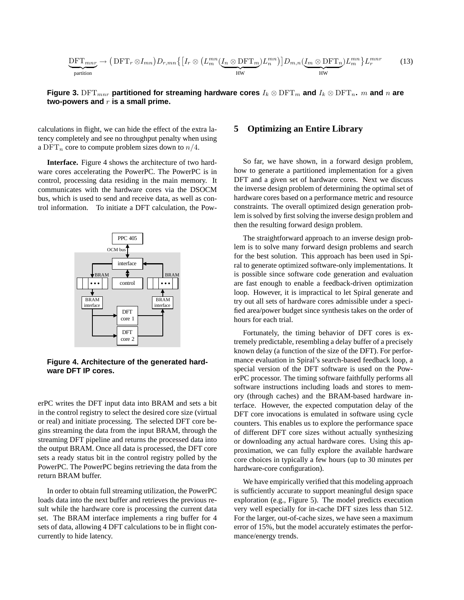$$
\underbrace{\text{DFT}_{mnr}}_{\text{partition}} \to \left(\text{DFT}_r \otimes I_{mn}\right) D_{r,mn} \left\{ \left[I_r \otimes \left(L_m^{mn}\left(\underline{I_n \otimes \text{DFT}_m}L_n^{mn}\right)\right] D_{m,n}\left(\underline{I_m \otimes \text{DFT}_n}L_m^{mn}\right) L_n^{mn} \right\} L_r^{mnr} \tag{13}
$$

**Figure 3.** DFT<sub>mnr</sub> partitioned for streaming hardware cores  $I_k \otimes \text{DFT}_m$  and  $I_k \otimes \text{DFT}_n$ . m and n are **two-powers and** r **is a small prime.**

calculations in flight, we can hide the effect of the extra latency completely and see no throughput penalty when using a DFT<sub>n</sub> core to compute problem sizes down to  $n/4$ .

**Interface.** Figure 4 shows the architecture of two hardware cores accelerating the PowerPC. The PowerPC is in control, processing data residing in the main memory. It communicates with the hardware cores via the DSOCM bus, which is used to send and receive data, as well as control information. To initiate a DFT calculation, the Pow-



**Figure 4. Architecture of the generated hardware DFT IP cores.**

erPC writes the DFT input data into BRAM and sets a bit in the control registry to select the desired core size (virtual or real) and initiate processing. The selected DFT core begins streaming the data from the input BRAM, through the streaming DFT pipeline and returns the processed data into the output BRAM. Once all data is processed, the DFT core sets a ready status bit in the control registry polled by the PowerPC. The PowerPC begins retrieving the data from the return BRAM buffer.

In order to obtain full streaming utilization, the PowerPC loads data into the next buffer and retrieves the previous result while the hardware core is processing the current data set. The BRAM interface implements a ring buffer for 4 sets of data, allowing 4 DFT calculations to be in flight concurrently to hide latency.

# **5 Optimizing an Entire Library**

So far, we have shown, in a forward design problem, how to generate a partitioned implementation for a given DFT and a given set of hardware cores. Next we discuss the inverse design problem of determining the optimal set of hardware cores based on a performance metric and resource constraints. The overall optimized design generation problem is solved by first solving the inverse design problem and then the resulting forward design problem.

The straightforward approach to an inverse design problem is to solve many forward design problems and search for the best solution. This approach has been used in Spiral to generate optimized software-only implementations. It is possible since software code generation and evaluation are fast enough to enable a feedback-driven optimization loop. However, it is impractical to let Spiral generate and try out all sets of hardware cores admissible under a specified area/power budget since synthesis takes on the order of hours for each trial.

Fortunately, the timing behavior of DFT cores is extremely predictable, resembling a delay buffer of a precisely known delay (a function of the size of the DFT). For performance evaluation in Spiral's search-based feedback loop, a special version of the DFT software is used on the PowerPC processor. The timing software faithfully performs all software instructions including loads and stores to memory (through caches) and the BRAM-based hardware interface. However, the expected computation delay of the DFT core invocations is emulated in software using cycle counters. This enables us to explore the performance space of different DFT core sizes without actually synthesizing or downloading any actual hardware cores. Using this approximation, we can fully explore the available hardware core choices in typically a few hours (up to 30 minutes per hardware-core configuration).

We have empirically verified that this modeling approach is sufficiently accurate to support meaningful design space exploration (e.g., Figure 5). The model predicts execution very well especially for in-cache DFT sizes less than 512. For the larger, out-of-cache sizes, we have seen a maximum error of 15%, but the model accurately estimates the performance/energy trends.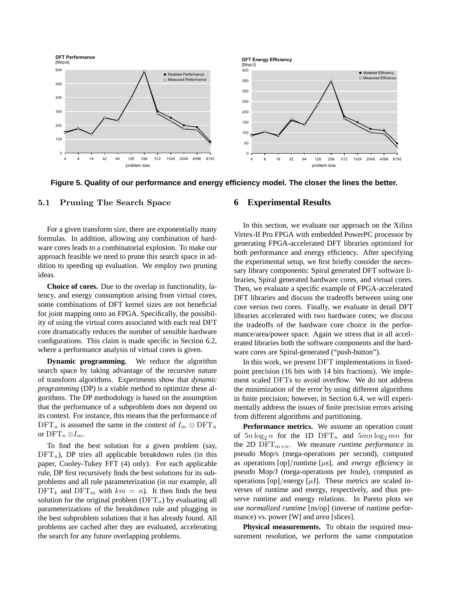

**Figure 5. Quality of our performance and energy efficiency model. The closer the lines the better.**

5.1 Pruning The Search Space

For a given transform size, there are exponentially many formulas. In addition, allowing any combination of hardware cores leads to a combinatorial explosion. To make our approach feasible we need to prune this search space in addition to speeding up evaluation. We employ two pruning ideas.

**Choice of cores.** Due to the overlap in functionality, latency, and energy consumption arising from virtual cores, some combinations of DFT kernel sizes are not beneficial for joint mapping onto an FPGA. Specifically, the possibility of using the virtual cores associated with each real DFT core dramatically reduces the number of sensible hardware configurations. This claim is made specific in Section 6.2, where a performance analysis of virtual cores is given.

**Dynamic programming.** We reduce the algorithm search space by taking advantage of the recursive nature of transform algorithms. Experiments show that *dynamic programming* (DP) is a viable method to optimize these algorithms. The DP methodology is based on the assumption that the performance of a subproblem does not depend on its context. For instance, this means that the performance of  $DFT_n$  is assumed the same in the context of  $I_m \otimes DFT_n$ or  $\mathrm{DFT}_n \otimes I_m$ .

To find the best solution for a given problem (say,  $DFT_n$ ), DP tries all applicable breakdown rules (in this paper, Cooley-Tukey FFT (4) only). For each applicable rule, DP first recursively finds the best solutions for its subproblems and all rule parameterization (in our example, all  $\text{DFT}_k$  and  $\text{DFT}_m$  with  $km = n$ ). It then finds the best solution for the original problem  $(DFT_n)$  by evaluating all parameterizations of the breakdown rule and plugging in the best subproblem solutions that it has already found. All problems are cached after they are evaluated, accelerating the search for any future overlapping problems.

# **6 Experimental Results**

In this section, we evaluate our approach on the Xilinx Virtex-II Pro FPGA with embedded PowerPC processor by generating FPGA-accelerated DFT libraries optimized for both performance and energy efficiency. After specifying the experimental setup, we first briefly consider the necessary library components: Spiral generated DFT software libraries, Spiral generated hardware cores, and virtual cores. Then, we evaluate a specific example of FPGA-accelerated DFT libraries and discuss the tradeoffs between using one core versus two cores. Finally, we evaluate in detail DFT libraries accelerated with two hardware cores; we discuss the tradeoffs of the hardware core choice in the performance/area/power space. Again we stress that in all accelerated libraries both the software components and the hardware cores are Spiral-generated ("push-button").

In this work, we present DFT implementations in fixedpoint precision (16 bits with 14 bits fractions). We implement scaled DFTs to avoid overflow. We do not address the minimization of the error by using different algorithms in finite precision; however, in Section 6.4, we will experimentally address the issues of finite precision errors arising from different algorithms and partitioning.

**Performance metrics.** We assume an operation count of  $5n \log_2 n$  for the 1D DFT<sub>n</sub> and  $5mn \log_2 mn$  for the 2D  $DFT_{m \times n}$ . We measure *runtime performance* in pseudo Mop/s (mega-operations per second), computed as operations [op]/runtime [µs], and *energy efficiency* in pseudo Mop/J (mega-operations per Joule), computed as operations [op]/energy [ $\mu$ J]. These metrics are scaled inverses of runtime and energy, respectively, and thus preserve runtime and energy relations. In Pareto plots we use *normalized runtime* [ns/op] (inverse of runtime performance) vs. power [W] and *area* [slices].

**Physical measurements.** To obtain the required measurement resolution, we perform the same computation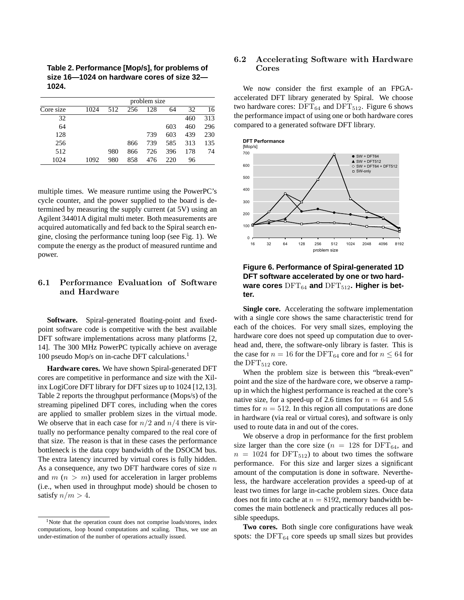**Table 2. Performance [Mop/s], for problems of size 16—1024 on hardware cores of size 32— 1024.**

| Core size | problem size |     |     |     |     |     |     |
|-----------|--------------|-----|-----|-----|-----|-----|-----|
|           | 1024         | 512 | 256 | 128 | 64  | 32  | 16  |
| 32        |              |     |     |     |     | 460 | 313 |
| 64        |              |     |     |     | 603 | 460 | 296 |
| 128       |              |     |     | 739 | 603 | 439 | 230 |
| 256       |              |     | 866 | 739 | 585 | 313 | 135 |
| 512       |              | 980 | 866 | 726 | 396 | 178 | 74  |
| 1024      | 1092         | 980 | 858 | 476 | 220 | 96  |     |

multiple times. We measure runtime using the PowerPC's cycle counter, and the power supplied to the board is determined by measuring the supply current (at 5V) using an Agilent 34401A digital multi meter. Both measurements are acquired automatically and fed back to the Spiral search engine, closing the performance tuning loop (see Fig. 1). We compute the energy as the product of measured runtime and power.

# 6.1 Performance Evaluation of Software and Hardware

**Software.** Spiral-generated floating-point and fixedpoint software code is competitive with the best available DFT software implementations across many platforms [2, 14]. The 300 MHz PowerPC typically achieve on average 100 pseudo Mop/s on in-cache DFT calculations.<sup>1</sup>

**Hardware cores.** We have shown Spiral-generated DFT cores are competitive in performance and size with the Xilinx LogiCore DFT library for DFT sizes up to 1024 [12,13]. Table 2 reports the throughput performance (Mops/s) of the streaming pipelined DFT cores, including when the cores are applied to smaller problem sizes in the virtual mode. We observe that in each case for  $n/2$  and  $n/4$  there is virtually no performance penalty compared to the real core of that size. The reason is that in these cases the performance bottleneck is the data copy bandwidth of the DSOCM bus. The extra latency incurred by virtual cores is fully hidden. As a consequence, any two DFT hardware cores of size  $n$ and  $m (n > m)$  used for acceleration in larger problems (i.e., when used in throughput mode) should be chosen to satisfy  $n/m > 4$ .

# 6.2 Accelerating Software with Hardware Cores

We now consider the first example of an FPGAaccelerated DFT library generated by Spiral. We choose two hardware cores:  $DFT_{64}$  and  $DFT_{512}$ . Figure 6 shows the performance impact of using one or both hardware cores compared to a generated software DFT library.



**Figure 6. Performance of Spiral-generated 1D DFT software accelerated by one or two hard**ware cores  $DFT_{64}$  and  $DFT_{512}$ . Higher is bet**ter.**

**Single core.** Accelerating the software implementation with a single core shows the same characteristic trend for each of the choices. For very small sizes, employing the hardware core does not speed up computation due to overhead and, there, the software-only library is faster. This is the case for  $n = 16$  for the DFT<sub>64</sub> core and for  $n \leq 64$  for the  $DFT_{512}$  core.

When the problem size is between this "break-even" point and the size of the hardware core, we observe a rampup in which the highest performance is reached at the core's native size, for a speed-up of 2.6 times for  $n = 64$  and 5.6 times for  $n = 512$ . In this region all computations are done in hardware (via real or virtual cores), and software is only used to route data in and out of the cores.

We observe a drop in performance for the first problem size larger than the core size ( $n = 128$  for DFT<sub>64</sub>, and  $n = 1024$  for DFT<sub>512</sub>) to about two times the software performance. For this size and larger sizes a significant amount of the computation is done in software. Nevertheless, the hardware acceleration provides a speed-up of at least two times for large in-cache problem sizes. Once data does not fit into cache at  $n = 8192$ , memory bandwidth becomes the main bottleneck and practically reduces all possible speedups.

**Two cores.** Both single core configurations have weak spots: the  $DFT_{64}$  core speeds up small sizes but provides

<sup>&</sup>lt;sup>1</sup>Note that the operation count does not comprise loads/stores, index computations, loop bound computations and scaling. Thus, we use an under-estimation of the number of operations actually issued.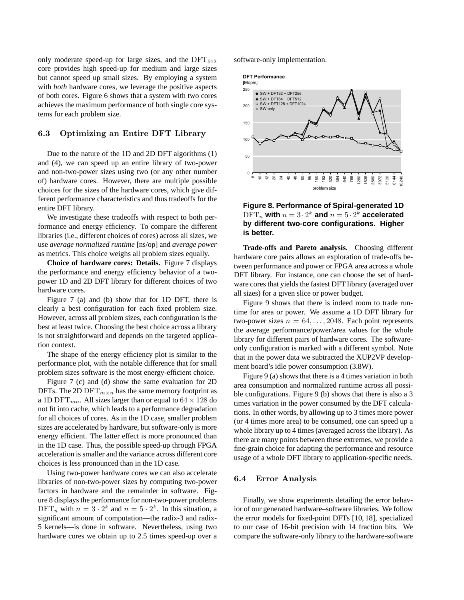only moderate speed-up for large sizes, and the  $DFT_{512}$ core provides high speed-up for medium and large sizes but cannot speed up small sizes. By employing a system with *both* hardware cores, we leverage the positive aspects of both cores. Figure 6 shows that a system with two cores achieves the maximum performance of both single core systems for each problem size.

### 6.3 Optimizing an Entire DFT Library

Due to the nature of the 1D and 2D DFT algorithms (1) and (4), we can speed up an entire library of two-power and non-two-power sizes using two (or any other number of) hardware cores. However, there are multiple possible choices for the sizes of the hardware cores, which give different performance characteristics and thus tradeoffs for the entire DFT library.

We investigate these tradeoffs with respect to both performance and energy efficiency. To compare the different libraries (i.e., different choices of cores) across all sizes, we use *average normalized runtime* [ns/op] and *average power* as metrics. This choice weighs all problem sizes equally.

**Choice of hardware cores: Details.** Figure 7 displays the performance and energy efficiency behavior of a twopower 1D and 2D DFT library for different choices of two hardware cores.

Figure 7 (a) and (b) show that for 1D DFT, there is clearly a best configuration for each fixed problem size. However, across all problem sizes, each configuration is the best at least twice. Choosing the best choice across a library is not straightforward and depends on the targeted application context.

The shape of the energy efficiency plot is similar to the performance plot, with the notable difference that for small problem sizes software is the most energy-efficient choice.

Figure 7 (c) and (d) show the same evaluation for 2D DFTs. The 2D  $DFT_{m \times n}$  has the same memory footprint as a 1D DFT<sub>mn</sub>. All sizes larger than or equal to  $64 \times 128$  do not fit into cache, which leads to a performance degradation for all choices of cores. As in the 1D case, smaller problem sizes are accelerated by hardware, but software-only is more energy efficient. The latter effect is more pronounced than in the 1D case. Thus, the possible speed-up through FPGA acceleration is smaller and the variance across different core choices is less pronounced than in the 1D case.

Using two-power hardware cores we can also accelerate libraries of non-two-power sizes by computing two-power factors in hardware and the remainder in software. Figure 8 displays the performance for non-two-power problems  $\text{DFT}_n$  with  $n = 3 \cdot 2^k$  and  $n = 5 \cdot 2^k$ . In this situation, a significant amount of computation—the radix-3 and radix-5 kernels—is done in software. Nevertheless, using two hardware cores we obtain up to 2.5 times speed-up over a software-only implementation.



**Figure 8. Performance of Spiral-generated 1D**  $\text{DFT}_n$  with  $n=3\cdot 2^k$  and  $n=5\cdot 2^k$  accelerated **by different two-core configurations. Higher is better.**

**Trade-offs and Pareto analysis.** Choosing different hardware core pairs allows an exploration of trade-offs between performance and power or FPGA area across a whole DFT library. For instance, one can choose the set of hardware cores that yields the fastest DFT library (averaged over all sizes) for a given slice or power budget.

Figure 9 shows that there is indeed room to trade runtime for area or power. We assume a 1D DFT library for two-power sizes  $n = 64, \ldots, 2048$ . Each point represents the average performance/power/area values for the whole library for different pairs of hardware cores. The softwareonly configuration is marked with a different symbol. Note that in the power data we subtracted the XUP2VP development board's idle power consumption (3.8W).

Figure 9 (a) shows that there is a 4 times variation in both area consumption and normalized runtime across all possible configurations. Figure 9 (b) shows that there is also a 3 times variation in the power consumed by the DFT calculations. In other words, by allowing up to 3 times more power (or 4 times more area) to be consumed, one can speed up a whole library up to 4 times (averaged across the library). As there are many points between these extremes, we provide a fine-grain choice for adapting the performance and resource usage of a whole DFT library to application-specific needs.

### 6.4 Error Analysis

Finally, we show experiments detailing the error behavior of our generated hardware–software libraries. We follow the error models for fixed-point DFTs [10, 18], specialized to our case of 16-bit precision with 14 fraction bits. We compare the software-only library to the hardware-software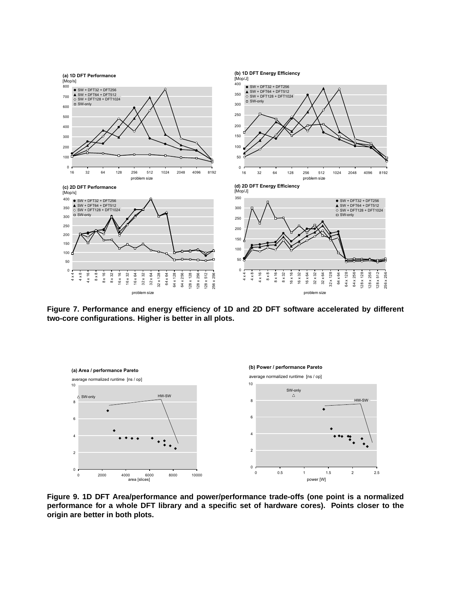

**Figure 7. Performance and energy efficiency of 1D and 2D DFT software accelerated by different two-core configurations. Higher is better in all plots.**



**Figure 9. 1D DFT Area/performance and power/performance trade-offs (one point is a normalized performance for a whole DFT library and a specific set of hardware cores). Points closer to the origin are better in both plots.**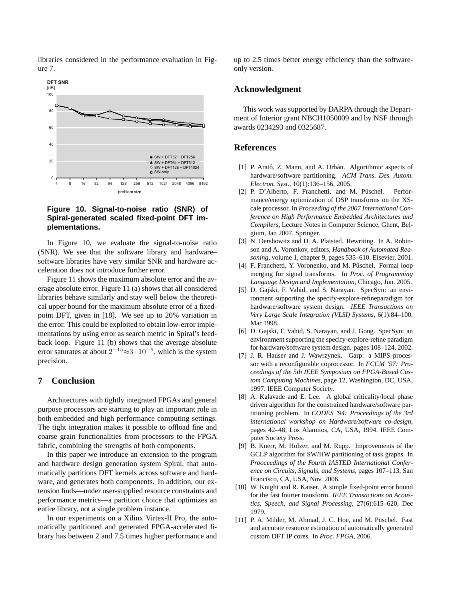libraries considered in the performance evaluation in Figure 7.



# **Figure 10. Signal-to-noise ratio (SNR) of Spiral-generated scaled fixed-point DFT implementations.**

In Figure 10, we evaluate the signal-to-noise ratio (SNR). We see that the software library and hardware– software libraries have very similar SNR and hardware acceleration does not introduce further error.

Figure 11 shows the maximum absolute error and the average absolute error. Figure 11 (a) shows that all considered libraries behave similarly and stay well below the theoretical upper bound for the maximum absolute error of a fixedpoint DFT, given in [18]. We see up to 20% variation in the error. This could be exploited to obtain low-error implementations by using error as search metric in Spiral's feedback loop. Figure 11 (b) shows that the average absolute error saturates at about  $2^{-15} \approx 3 \cdot 10^{-5}$ , which is the system precision.

# **7 Conclusion**

Architectures with tightly integrated FPGAs and general purpose processors are starting to play an important role in both embedded and high performance computing settings. The tight integration makes it possible to offload fine and coarse grain functionalities from processors to the FPGA fabric, combining the strengths of both components.

In this paper we introduce an extension to the program and hardware design generation system Spiral, that automatically partitions DFT kernels across software and hardware, and generates both components. In addition, our extension finds—under user-supplied resource constraints and performance metrics—a partition choice that optimizes an entire library, not a single problem instance.

In our experiments on a Xilinx Virtex-II Pro, the automatically partitioned and generated FPGA-accelerated library has between 2 and 7.5 times higher performance and up to 2.5 times better energy efficiency than the softwareonly version.

# **Acknowledgment**

This work was supported by DARPA through the Department of Interior grant NBCH1050009 and by NSF through awards 0234293 and 0325687.

### **References**

- [1] P. Arató, Z. Mann, and A. Orbán. Algorithmic aspects of hardware/software partitioning. *ACM Trans. Des. Autom. Electron. Syst.*, 10(1):136–156, 2005.
- [2] P. D'Alberto, F. Franchetti, and M. Püschel. Performance/energy optimization of DSP transforms on the XScale processor. In *Proceeding of the 2007 International Conference on High Performance Embedded Architectures and Compilers*, Lecture Notes in Computer Science, Ghent, Belgium, Jan 2007. Springer.
- [3] N. Dershowitz and D. A. Plaisted. Rewriting. In A. Robinson and A. Voronkov, editors, *Handbook of Automated Reasoning*, volume 1, chapter 9, pages 535–610. Elsevier, 2001.
- [4] F. Franchetti, Y. Voronenko, and M. Püschel. Formal loop merging for signal transforms. In *Proc. of Programming Language Design and Implementation*, Chicago, Jun. 2005.
- [5] D. Gajski, F. Vahid, and S. Narayan. SpecSyn: an environment supporting the specify-explore-refineparadigm for hardware/software system design. *IEEE Transactions on Very Large Scale Integration (VLSI) Systems*, 6(1):84–100, Mar 1998.
- [6] D. Gajski, F. Vahid, S. Narayan, and J. Gong. SpecSyn: an environment supporting the specify-explore-refine paradigm for hardware/software system design. pages 108–124, 2002.
- [7] J. R. Hauser and J. Wawrzynek. Garp: a MIPS processor with a reconfigurable coprocessor. In *FCCM '97: Proceedings of the 5th IEEE Symposium on FPGA-Based Custom Computing Machines*, page 12, Washington, DC, USA, 1997. IEEE Computer Society.
- [8] A. Kalavade and E. Lee. A global criticality/local phase driven algorithm for the constrained hardware/software partitioning problem. In *CODES '94: Proceedings of the 3rd international workshop on Hardware/software co-design*, pages 42–48, Los Alamitos, CA, USA, 1994. IEEE Computer Society Press.
- [9] B. Knerr, M. Holzer, and M. Rupp. Improvements of the GCLP algorithm for SW/HW partitioning of task graphs. In *Prooceedings of the Fourth IASTED International Conference on Circuits, Signals, and Systems*, pages 107–113, San Francisco, CA, USA, Nov. 2006.
- [10] W. Knight and R. Kaiser. A simple fixed-point error bound for the fast fourier transform. *IEEE Transactions on Acoustics, Speech, and Signal Processing*, 27(6):615–620, Dec 1979.
- [11] P. A. Milder, M. Ahmad, J. C. Hoe, and M. Püschel. Fast and accurate resource estimation of automatically generated custom DFT IP cores. In *Proc. FPGA*, 2006.